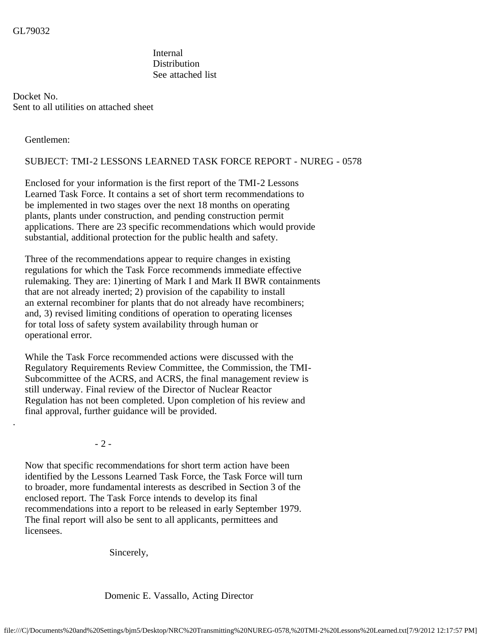Internal **Distribution** See attached list

Docket No. Sent to all utilities on attached sheet

Gentlemen:

.

## SUBJECT: TMI-2 LESSONS LEARNED TASK FORCE REPORT - NUREG - 0578

 Enclosed for your information is the first report of the TMI-2 Lessons Learned Task Force. It contains a set of short term recommendations to be implemented in two stages over the next 18 months on operating plants, plants under construction, and pending construction permit applications. There are 23 specific recommendations which would provide substantial, additional protection for the public health and safety.

 Three of the recommendations appear to require changes in existing regulations for which the Task Force recommends immediate effective rulemaking. They are: 1)inerting of Mark I and Mark II BWR containments that are not already inerted; 2) provision of the capability to install an external recombiner for plants that do not already have recombiners; and, 3) revised limiting conditions of operation to operating licenses for total loss of safety system availability through human or operational error.

 While the Task Force recommended actions were discussed with the Regulatory Requirements Review Committee, the Commission, the TMI- Subcommittee of the ACRS, and ACRS, the final management review is still underway. Final review of the Director of Nuclear Reactor Regulation has not been completed. Upon completion of his review and final approval, further guidance will be provided.

- 2 -

 Now that specific recommendations for short term action have been identified by the Lessons Learned Task Force, the Task Force will turn to broader, more fundamental interests as described in Section 3 of the enclosed report. The Task Force intends to develop its final recommendations into a report to be released in early September 1979. The final report will also be sent to all applicants, permittees and licensees.

Sincerely,

Domenic E. Vassallo, Acting Director